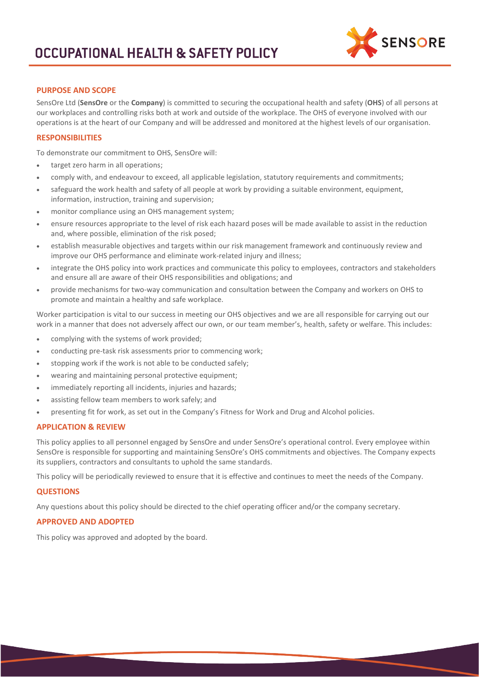

## **PURPOSE AND SCOPE**

SensOre Ltd (**SensOre** or the **Company**) is committed to securing the occupational health and safety (**OHS**) of all persons at our workplaces and controlling risks both at work and outside of the workplace. The OHS of everyone involved with our operations is at the heart of our Company and will be addressed and monitored at the highest levels of our organisation.

#### **RESPONSIBILITIES**

To demonstrate our commitment to OHS, SensOre will:

- target zero harm in all operations;
- comply with, and endeavour to exceed, all applicable legislation, statutory requirements and commitments;
- safeguard the work health and safety of all people at work by providing a suitable environment, equipment, information, instruction, training and supervision;
- monitor compliance using an OHS management system;
- ensure resources appropriate to the level of risk each hazard poses will be made available to assist in the reduction and, where possible, elimination of the risk posed;
- establish measurable objectives and targets within our risk management framework and continuously review and improve our OHS performance and eliminate work-related injury and illness;
- integrate the OHS policy into work practices and communicate this policy to employees, contractors and stakeholders and ensure all are aware of their OHS responsibilities and obligations; and
- provide mechanisms for two-way communication and consultation between the Company and workers on OHS to promote and maintain a healthy and safe workplace.

Worker participation is vital to our success in meeting our OHS objectives and we are all responsible for carrying out our work in a manner that does not adversely affect our own, or our team member's, health, safety or welfare. This includes:

- complying with the systems of work provided;
- conducting pre-task risk assessments prior to commencing work;
- stopping work if the work is not able to be conducted safely;
- wearing and maintaining personal protective equipment;
- immediately reporting all incidents, injuries and hazards;
- assisting fellow team members to work safely; and
- presenting fit for work, as set out in the Company's Fitness for Work and Drug and Alcohol policies.

#### **APPLICATION & REVIEW**

This policy applies to all personnel engaged by SensOre and under SensOre's operational control. Every employee within SensOre is responsible for supporting and maintaining SensOre's OHS commitments and objectives. The Company expects its suppliers, contractors and consultants to uphold the same standards.

This policy will be periodically reviewed to ensure that it is effective and continues to meet the needs of the Company.

#### **QUESTIONS**

Any questions about this policy should be directed to the chief operating officer and/or the company secretary.

#### **APPROVED AND ADOPTED**

This policy was approved and adopted by the board.